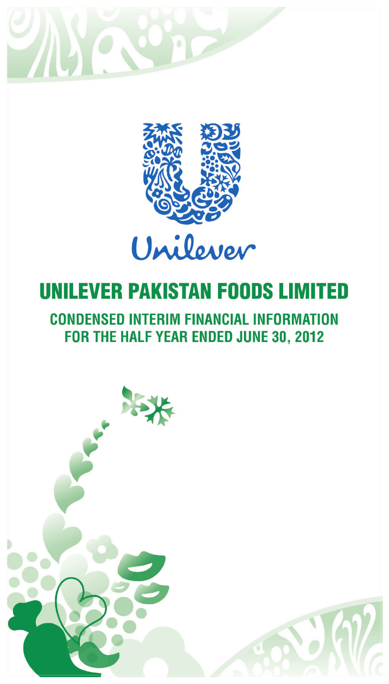



## **CONDENSED INTERIM FINANCIAL INFORMATION** FOR THE HALF YEAR ENDED JUNE 30, 2012

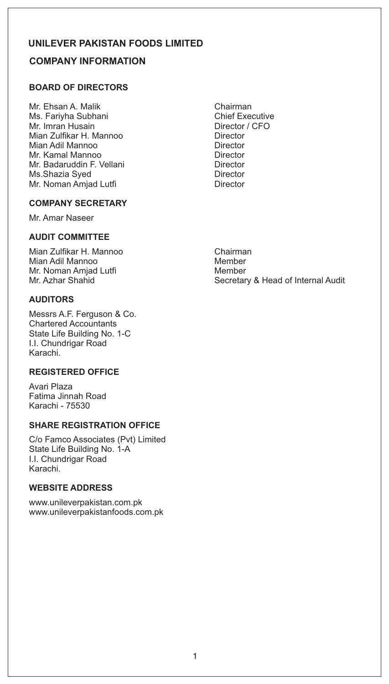## **COMPANY INFORMATION**

## **BOARD OF DIRECTORS**

- Mr. Ehsan A. Malik Chairman Ms. Fariyha Subhani Chief Executive Mr. Imran Husain **Mr. Imran Husain**<br>Mian Zulfikar H. Mannoo **Alexandria** Director Mian Zulfikar H. Mannoo **Director**<br>Mian Adil Mannoo **Director** Mian Adil Mannoo Mr. Kamal Mannoo **Director** Mr. Badaruddin F. Vellani Director Ms.Shazia Syed Director Mr. Noman Amjad Lutfi **Director** Director
- **COMPANY SECRETARY**

Mr. Amar Naseer

### **AUDIT COMMITTEE**

Mian Zulfikar H. Mannoo Chairman Mian Adil Mannoo Mr. Noman Amjad Lutfi Member

## **AUDITORS**

Messrs A.F. Ferguson & Co. Chartered Accountants State Life Building No. 1-C I.I. Chundrigar Road Karachi.

## **REGISTERED OFFICE**

Avari Plaza Fatima Jinnah Road Karachi - 75530

## **SHARE REGISTRATION OFFICE**

C/o Famco Associates (Pvt) Limited State Life Building No. 1-A I.I. Chundrigar Road Karachi.

## **WEBSITE ADDRESS**

www.unileverpakistan.com.pk www.unileverpakistanfoods.com.pk

Mr. Azhar Shahid Secretary & Head of Internal Audit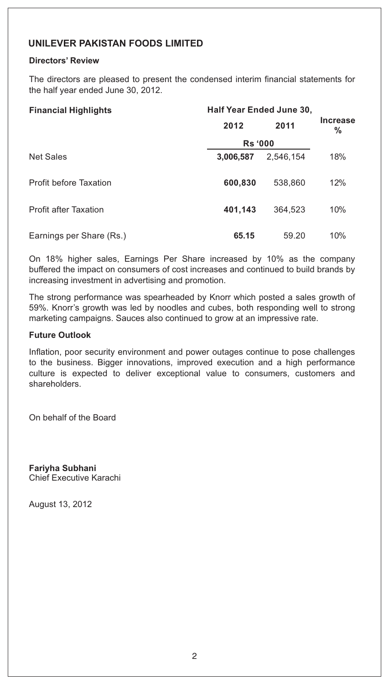## **Directors' Review**

The directors are pleased to present the condensed interim financial statements for the half year ended June 30, 2012.

| <b>Financial Highlights</b>   | Half Year Ended June 30, |           |                      |
|-------------------------------|--------------------------|-----------|----------------------|
|                               | 2012                     | 2011      | <b>Increase</b><br>% |
|                               | <b>Rs</b> '000           |           |                      |
| <b>Net Sales</b>              | 3,006,587                | 2.546.154 | 18%                  |
| <b>Profit before Taxation</b> | 600,830                  | 538,860   | 12%                  |
| <b>Profit after Taxation</b>  | 401,143                  | 364,523   | 10%                  |
| Earnings per Share (Rs.)      | 65.15                    | 59.20     | 10%                  |

On 18% higher sales, Earnings Per Share increased by 10% as the company buffered the impact on consumers of cost increases and continued to build brands by increasing investment in advertising and promotion.

The strong performance was spearheaded by Knorr which posted a sales growth of 59%. Knorr's growth was led by noodles and cubes, both responding well to strong marketing campaigns. Sauces also continued to grow at an impressive rate.

### **Future Outlook**

Inflation, poor security environment and power outages continue to pose challenges to the business. Bigger innovations, improved execution and a high performance culture is expected to deliver exceptional value to consumers, customers and shareholders.

On behalf of the Board

**Fariyha Subhani** Chief Executive Karachi

August 13, 2012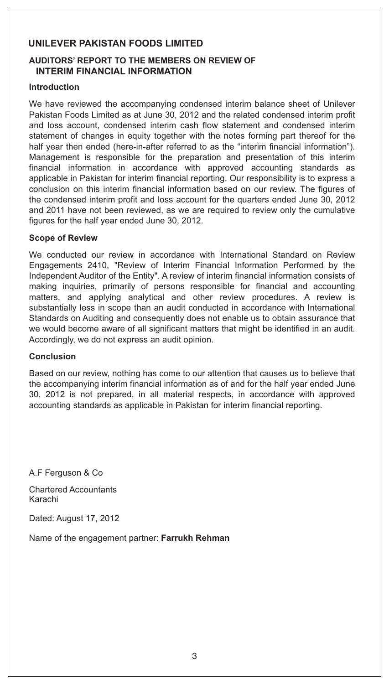## **AUDITORS' REPORT TO THE MEMBERS ON REVIEW OF INTERIM FINANCIAL INFORMATION**

### **Introduction**

We have reviewed the accompanying condensed interim balance sheet of Unilever Pakistan Foods Limited as at June 30, 2012 and the related condensed interim profit and loss account, condensed interim cash flow statement and condensed interim statement of changes in equity together with the notes forming part thereof for the half year then ended (here-in-after referred to as the "interim financial information"). Management is responsible for the preparation and presentation of this interim financial information in accordance with approved accounting standards as applicable in Pakistan for interim financial reporting. Our responsibility is to express a conclusion on this interim financial information based on our review. The figures of the condensed interim profit and loss account for the quarters ended June 30, 2012 and 2011 have not been reviewed, as we are required to review only the cumulative figures for the half year ended June 30, 2012.

### **Scope of Review**

We conducted our review in accordance with International Standard on Review Engagements 2410, "Review of Interim Financial Information Performed by the Independent Auditor of the Entity". A review of interim financial information consists of making inquiries, primarily of persons responsible for financial and accounting matters, and applying analytical and other review procedures. A review is substantially less in scope than an audit conducted in accordance with International Standards on Auditing and consequently does not enable us to obtain assurance that we would become aware of all significant matters that might be identified in an audit. Accordingly, we do not express an audit opinion.

#### **Conclusion**

Based on our review, nothing has come to our attention that causes us to believe that the accompanying interim financial information as of and for the half year ended June 30, 2012 is not prepared, in all material respects, in accordance with approved accounting standards as applicable in Pakistan for interim financial reporting.

A.F Ferguson & Co

Chartered Accountants Karachi

Dated: August 17, 2012

Name of the engagement partner: **Farrukh Rehman**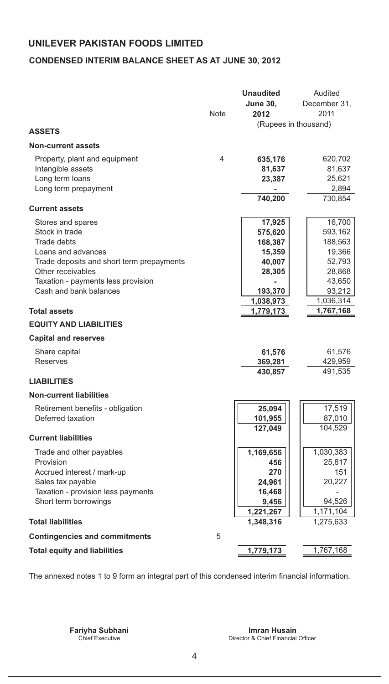## **CONDENSED INTERIM BALANCE SHEET AS AT JUNE 30, 2012**

|                                                                |             | <b>Unaudited</b>   | Audited              |
|----------------------------------------------------------------|-------------|--------------------|----------------------|
|                                                                |             | <b>June 30,</b>    | December 31,         |
|                                                                | <b>Note</b> | 2012               | 2011                 |
|                                                                |             |                    | (Rupees in thousand) |
| <b>ASSETS</b>                                                  |             |                    |                      |
| <b>Non-current assets</b>                                      |             |                    |                      |
| Property, plant and equipment                                  | 4           | 635,176            | 620,702              |
| Intangible assets                                              |             | 81,637             | 81,637               |
| Long term loans                                                |             | 23,387             | 25,621               |
| Long term prepayment                                           |             |                    | 2,894                |
|                                                                |             | 740,200            | 730,854              |
| <b>Current assets</b>                                          |             |                    |                      |
| Stores and spares                                              |             | 17,925             | 16,700               |
| Stock in trade                                                 |             | 575,620            | 593,162              |
| <b>Trade debts</b>                                             |             | 168,387            | 188,563              |
| Loans and advances                                             |             | 15,359             | 19,366               |
| Trade deposits and short term prepayments<br>Other receivables |             | 40,007             | 52,793<br>28,868     |
| Taxation - payments less provision                             |             | 28,305             | 43,650               |
| Cash and bank balances                                         |             | 193,370            | 93,212               |
|                                                                |             | 1,038,973          | 1,036,314            |
| <b>Total assets</b>                                            |             | 1,779,173          | 1,767,168            |
| <b>EQUITY AND LIABILITIES</b>                                  |             |                    |                      |
| <b>Capital and reserves</b>                                    |             |                    |                      |
|                                                                |             |                    |                      |
| Share capital<br><b>Reserves</b>                               |             | 61,576             | 61,576<br>429,959    |
|                                                                |             | 369,281<br>430,857 | 491,535              |
| <b>LIABILITIES</b>                                             |             |                    |                      |
| <b>Non-current liabilities</b>                                 |             |                    |                      |
| Retirement benefits - obligation                               |             | 25,094             | 17,519               |
| Deferred taxation                                              |             | 101,955            | 87,010               |
|                                                                |             | 127,049            | 104,529              |
| <b>Current liabilities</b>                                     |             |                    |                      |
| Trade and other payables                                       |             | 1,169,656          | 1,030,383            |
| Provision                                                      |             | 456                | 25,817               |
| Accrued interest / mark-up                                     |             | 270                | 151                  |
| Sales tax payable                                              |             | 24,961             | 20,227               |
| Taxation - provision less payments                             |             | 16,468             |                      |
| Short term borrowings                                          |             | 9,456              | 94,526               |
|                                                                |             | 1,221,267          | 1,171,104            |
| <b>Total liabilities</b>                                       |             | 1,348,316          | 1,275,633            |
| <b>Contingencies and commitments</b>                           | 5           |                    |                      |
| <b>Total equity and liabilities</b>                            |             | 1,779,173          | 1,767,168            |

The annexed notes 1 to 9 form an integral part of this condensed interim financial information.

Director & Chief Financial Officer **Fariyha Subhani Imran Husain**<br>Chief Executive **Imran Husain Director & Chief Financial**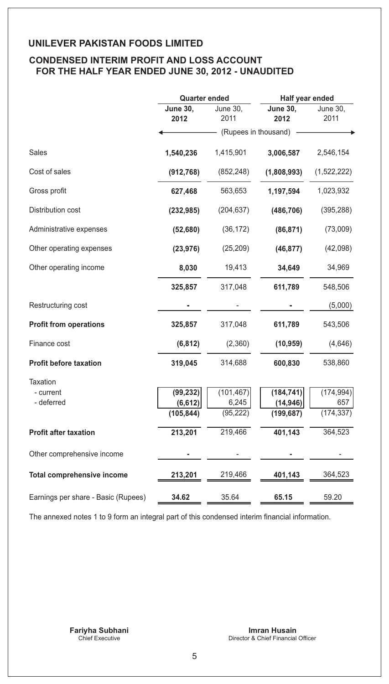## **CONDENSED INTERIM PROFIT AND LOSS ACCOUNT FOR THE HALF YEAR ENDED JUNE 30, 2012 - UNAUDITED**

|                                     | <b>Quarter ended</b>    |                         | Half year ended         |                  |
|-------------------------------------|-------------------------|-------------------------|-------------------------|------------------|
|                                     | <b>June 30,</b><br>2012 | <b>June 30,</b><br>2011 | <b>June 30,</b><br>2012 | June 30,<br>2011 |
|                                     |                         | (Rupees in thousand)    |                         |                  |
| Sales                               | 1,540,236               | 1,415,901               | 3,006,587               | 2,546,154        |
| Cost of sales                       | (912, 768)              | (852, 248)              | (1,808,993)             | (1,522,222)      |
| Gross profit                        | 627,468                 | 563,653                 | 1,197,594               | 1,023,932        |
| Distribution cost                   | (232, 985)              | (204, 637)              | (486, 706)              | (395, 288)       |
| Administrative expenses             | (52,680)                | (36, 172)               | (86, 871)               | (73,009)         |
| Other operating expenses            | (23, 976)               | (25, 209)               | (46, 877)               | (42,098)         |
| Other operating income              | 8,030                   | 19,413                  | 34,649                  | 34,969           |
|                                     | 325,857                 | 317,048                 | 611,789                 | 548,506          |
| Restructuring cost                  |                         |                         |                         | (5,000)          |
| <b>Profit from operations</b>       | 325,857                 | 317,048                 | 611,789                 | 543,506          |
| Finance cost                        | (6, 812)                | (2,360)                 | (10, 959)               | (4,646)          |
| <b>Profit before taxation</b>       | 319,045                 | 314,688                 | 600,830                 | 538,860          |
| <b>Taxation</b>                     |                         |                         |                         |                  |
| - current                           | (99, 232)               | (101, 467)              | (184, 741)              | (174, 994)       |
| - deferred                          | (6, 612)                | 6,245                   | (14, 946)               | 657              |
|                                     | (105, 844)              | (95, 222)               | (199, 687)              | (174, 337)       |
| <b>Profit after taxation</b>        | 213,201                 | 219,466                 | 401,143                 | 364,523          |
| Other comprehensive income          |                         |                         |                         |                  |
| <b>Total comprehensive income</b>   | 213,201                 | 219,466                 | 401,143                 | 364,523          |
| Earnings per share - Basic (Rupees) | 34.62                   | 35.64                   | 65.15                   | 59.20            |
|                                     |                         |                         |                         |                  |

The annexed notes 1 to 9 form an integral part of this condensed interim financial information.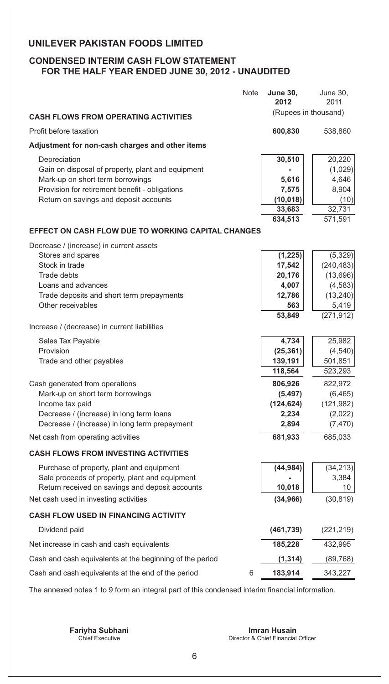## **CONDENSED INTERIM CASH FLOW STATEMENT FOR THE HALF YEAR ENDED JUNE 30, 2012 - UNAUDITED**

|                                                                                          | Note | <b>June 30,</b><br>2012 | June 30,<br>2011      |
|------------------------------------------------------------------------------------------|------|-------------------------|-----------------------|
| <b>CASH FLOWS FROM OPERATING ACTIVITIES</b>                                              |      | (Rupees in thousand)    |                       |
| Profit before taxation                                                                   |      | 600,830                 | 538,860               |
| Adjustment for non-cash charges and other items                                          |      |                         |                       |
| Depreciation                                                                             |      | 30,510                  | 20,220                |
| Gain on disposal of property, plant and equipment                                        |      |                         | (1,029)               |
| Mark-up on short term borrowings                                                         |      | 5,616                   | 4,646                 |
| Provision for retirement benefit - obligations                                           |      | 7,575                   | 8,904                 |
| Return on savings and deposit accounts                                                   |      | (10, 018)<br>33,683     | (10)<br>32,731        |
|                                                                                          |      | 634,513                 | 571,591               |
| EFFECT ON CASH FLOW DUE TO WORKING CAPITAL CHANGES                                       |      |                         |                       |
| Decrease / (increase) in current assets                                                  |      |                         |                       |
| Stores and spares                                                                        |      | (1, 225)                | (5,329)               |
| Stock in trade                                                                           |      | 17,542                  | (240, 483)            |
| Trade debts                                                                              |      | 20,176                  | (13,696)              |
| Loans and advances                                                                       |      | 4,007<br>12,786         | (4, 583)              |
| Trade deposits and short term prepayments<br>Other receivables                           |      | 563                     | (13, 240)<br>5,419    |
|                                                                                          |      | 53,849                  | (271, 912)            |
| Increase / (decrease) in current liabilities                                             |      |                         |                       |
| <b>Sales Tax Payable</b>                                                                 |      | 4,734                   | 25,982                |
| Provision                                                                                |      | (25, 361)               | (4, 540)              |
| Trade and other payables                                                                 |      | 139,191                 | 501,851               |
|                                                                                          |      | 118,564                 | 523,293               |
| Cash generated from operations                                                           |      | 806,926                 | 822,972               |
| Mark-up on short term borrowings                                                         |      | (5, 497)                | (6, 465)              |
| Income tax paid<br>Decrease / (increase) in long term loans                              |      | (124, 624)<br>2,234     | (121, 982)<br>(2,022) |
| Decrease / (increase) in long term prepayment                                            |      | 2,894                   | (7, 470)              |
| Net cash from operating activities                                                       |      | 681,933                 | 685,033               |
|                                                                                          |      |                         |                       |
| <b>CASH FLOWS FROM INVESTING ACTIVITIES</b>                                              |      |                         |                       |
| Purchase of property, plant and equipment                                                |      | (44, 984)               | (34, 213)             |
| Sale proceeds of property, plant and equipment                                           |      |                         | 3,384                 |
| Return received on savings and deposit accounts<br>Net cash used in investing activities |      | 10,018<br>(34, 966)     | 10<br>(30, 819)       |
|                                                                                          |      |                         |                       |
| <b>CASH FLOW USED IN FINANCING ACTIVITY</b>                                              |      |                         |                       |
| Dividend paid                                                                            |      | (461, 739)              | (221, 219)            |
| Net increase in cash and cash equivalents                                                |      | 185,228                 | 432,995               |
| Cash and cash equivalents at the beginning of the period                                 |      | (1, 314)                | (89, 768)             |
| Cash and cash equivalents at the end of the period                                       | 6    | 183,914                 | 343,227               |

The annexed notes 1 to 9 form an integral part of this condensed interim financial information.

Director & Chief Financial Officer **Fariyha Subhani Imran Husain**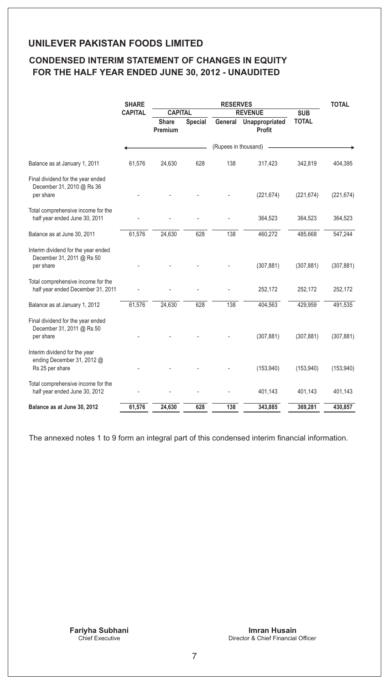## **CONDENSED INTERIM STATEMENT OF CHANGES IN EQUITY FOR THE HALF YEAR ENDED JUNE 30, 2012 - UNAUDITED**

|                                                                                | <b>SHARE</b>   | <b>RESERVES</b>                  |         |                      | <b>TOTAL</b>                     |              |            |  |
|--------------------------------------------------------------------------------|----------------|----------------------------------|---------|----------------------|----------------------------------|--------------|------------|--|
|                                                                                | <b>CAPITAL</b> | <b>CAPITAL</b><br><b>REVENUE</b> |         |                      |                                  | <b>SUB</b>   |            |  |
|                                                                                |                | <b>Share</b><br>Premium          | Special |                      | General Unappropriated<br>Profit | <b>TOTAL</b> |            |  |
|                                                                                |                |                                  |         | (Rupees in thousand) |                                  |              |            |  |
| Balance as at January 1, 2011                                                  | 61,576         | 24,630                           | 628     | 138                  | 317,423                          | 342,819      | 404,395    |  |
| Final dividend for the year ended<br>December 31, 2010 @ Rs 36<br>per share    |                |                                  |         |                      | (221, 674)                       | (221, 674)   | (221, 674) |  |
| Total comprehensive income for the<br>half year ended June 30, 2011            |                |                                  |         |                      | 364,523                          | 364,523      | 364,523    |  |
| Balance as at June 30, 2011                                                    | 61,576         | 24,630                           | 628     | 138                  | 460,272                          | 485,668      | 547,244    |  |
| Interim dividend for the year ended<br>December 31, 2011 @ Rs 50<br>per share  |                |                                  |         |                      | (307, 881)                       | (307, 881)   | (307, 881) |  |
| Total comprehensive income for the<br>half year ended December 31, 2011        |                |                                  |         |                      | 252,172                          | 252,172      | 252,172    |  |
| Balance as at January 1, 2012                                                  | 61,576         | 24,630                           | 628     | 138                  | 404,563                          | 429,959      | 491,535    |  |
| Final dividend for the year ended<br>December 31, 2011 @ Rs 50<br>per share    |                |                                  |         |                      | (307, 881)                       | (307, 881)   | (307, 881) |  |
| Interim dividend for the year<br>ending December 31, 2012 @<br>Rs 25 per share |                |                                  |         |                      | (153, 940)                       | (153, 940)   | (153, 940) |  |
| Total comprehensive income for the<br>half year ended June 30, 2012            |                |                                  |         |                      | 401,143                          | 401,143      | 401,143    |  |
| Balance as at June 30, 2012                                                    | 61,576         | 24,630                           | 628     | 138                  | 343,885                          | 369,281      | 430,857    |  |

The annexed notes 1 to 9 form an integral part of this condensed interim financial information.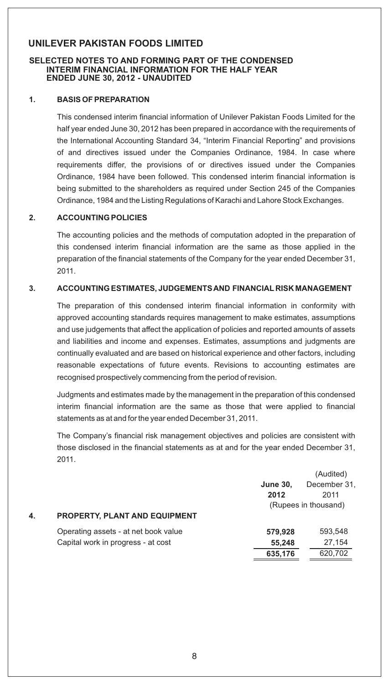#### **SELECTED NOTES TO AND FORMING PART OF THE CONDENSED INTERIM FINANCIAL INFORMATION FOR THE HALF YEAR ENDED JUNE 30, 2012 - UNAUDITED**

#### **1. BASIS OF PREPARATION**

This condensed interim financial information of Unilever Pakistan Foods Limited for the half year ended June 30, 2012 has been prepared in accordance with the requirements of the International Accounting Standard 34, "Interim Financial Reporting" and provisions of and directives issued under the Companies Ordinance, 1984. In case where requirements differ, the provisions of or directives issued under the Companies Ordinance, 1984 have been followed. This condensed interim financial information is being submitted to the shareholders as required under Section 245 of the Companies Ordinance, 1984 and the Listing Regulations of Karachi and Lahore Stock Exchanges.

#### **2. ACCOUNTING POLICIES**

The accounting policies and the methods of computation adopted in the preparation of this condensed interim financial information are the same as those applied in the preparation of the financial statements of the Company for the year ended December 31, 2011.

#### **3. ACCOUNTING ESTIMATES, JUDGEMENTS AND FINANCIAL RISK MANAGEMENT**

The preparation of this condensed interim financial information in conformity with approved accounting standards requires management to make estimates, assumptions and use judgements that affect the application of policies and reported amounts of assets and liabilities and income and expenses. Estimates, assumptions and judgments are continually evaluated and are based on historical experience and other factors, including reasonable expectations of future events. Revisions to accounting estimates are recognised prospectively commencing from the period of revision.

Judgments and estimates made by the management in the preparation of this condensed interim financial information are the same as those that were applied to financial statements as at and for the year ended December 31, 2011.

The Company's financial risk management objectives and policies are consistent with those disclosed in the financial statements as at and for the year ended December 31, 2011.

|    |                                      |                 | (Audited)            |
|----|--------------------------------------|-----------------|----------------------|
|    |                                      | <b>June 30,</b> | December 31,         |
|    |                                      | 2012            | 2011                 |
|    |                                      |                 | (Rupees in thousand) |
| 4. | <b>PROPERTY, PLANT AND EQUIPMENT</b> |                 |                      |
|    | Operating assets - at net book value | 579.928         | 593,548              |
|    | Capital work in progress - at cost   | 55,248          | 27,154               |
|    |                                      | 635,176         | 620,702              |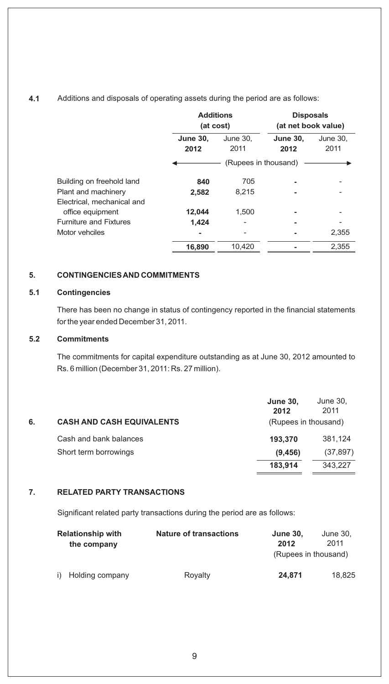## **4.1** Additions and disposals of operating assets during the period are as follows:

|                               |                 | <b>Additions</b><br>(at cost) |                 | <b>Disposals</b><br>(at net book value) |  |
|-------------------------------|-----------------|-------------------------------|-----------------|-----------------------------------------|--|
|                               | <b>June 30,</b> | June 30.                      | <b>June 30,</b> | June 30.                                |  |
|                               | 2012            | 2011                          | 2012            | 2011                                    |  |
|                               |                 | (Rupees in thousand)          |                 |                                         |  |
| Building on freehold land     | 840             | 705                           |                 |                                         |  |
| Plant and machinery           | 2,582           | 8,215                         |                 |                                         |  |
| Electrical, mechanical and    |                 |                               |                 |                                         |  |
| office equipment              | 12,044          | 1.500                         |                 |                                         |  |
| <b>Furniture and Fixtures</b> | 1,424           |                               |                 |                                         |  |
| Motor vehciles                |                 |                               |                 | 2.355                                   |  |
|                               | 16,890          | 10,420                        |                 | 2,355                                   |  |

#### **5. CONTINGENCIES AND COMMITMENTS**

### **5.1 Contingencies**

There has been no change in status of contingency reported in the financial statements for the year ended December 31, 2011.

#### **5.2 Commitments**

The commitments for capital expenditure outstanding as at June 30, 2012 amounted to Rs. 6 million (December 31, 2011: Rs. 27 million).

|    |                                  | <b>June 30,</b><br>2012 | June 30,<br>2011 |
|----|----------------------------------|-------------------------|------------------|
| 6. | <b>CASH AND CASH EQUIVALENTS</b> | (Rupees in thousand)    |                  |
|    | Cash and bank balances           | 193.370                 | 381.124          |
|    | Short term borrowings            | (9, 456)                | (37, 897)        |
|    |                                  | 183.914                 | 343.227          |

#### **7. RELATED PARTY TRANSACTIONS**

Significant related party transactions during the period are as follows:

| <b>Relationship with</b><br>the company | <b>Nature of transactions</b> | <b>June 30,</b><br>2012<br>(Rupees in thousand) | June 30.<br>2011 |
|-----------------------------------------|-------------------------------|-------------------------------------------------|------------------|
| i) Holding company                      | Royalty                       | 24.871                                          | 18.825           |